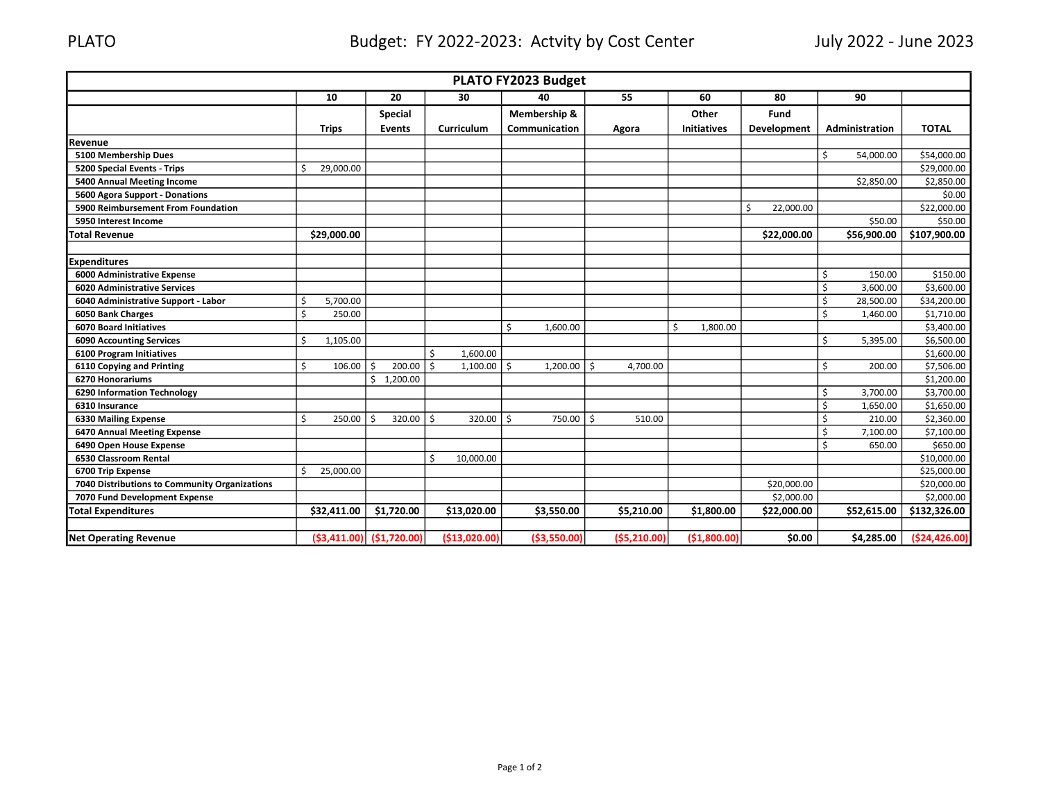## PLATO Budget: FY 2022-2023: Actvity by Cost Center July 2022 - June 2023

| PLATO FY2023 Budget                           |    |                               |         |                |                    |                 |    |               |      |                |                    |                 |                 |                |
|-----------------------------------------------|----|-------------------------------|---------|----------------|--------------------|-----------------|----|---------------|------|----------------|--------------------|-----------------|-----------------|----------------|
|                                               |    | 10                            |         | 20             |                    | 30              |    | 40            |      | 55             | 60                 | 80              | 90              |                |
|                                               |    |                               |         | <b>Special</b> |                    |                 |    | Membership &  |      |                | Other              | Fund            |                 |                |
|                                               |    | <b>Trips</b>                  |         | <b>Events</b>  |                    | Curriculum      |    | Communication |      | Agora          | <b>Initiatives</b> | Development     | Administration  | <b>TOTAL</b>   |
| Revenue                                       |    |                               |         |                |                    |                 |    |               |      |                |                    |                 |                 |                |
| 5100 Membership Dues                          |    |                               |         |                |                    |                 |    |               |      |                |                    |                 | \$<br>54,000.00 | \$54,000.00    |
| <b>5200 Special Events - Trips</b>            | Š, | 29,000.00                     |         |                |                    |                 |    |               |      |                |                    |                 |                 | \$29,000.00    |
| 5400 Annual Meeting Income                    |    |                               |         |                |                    |                 |    |               |      |                |                    |                 | \$2,850.00      | \$2,850.00     |
| 5600 Agora Support - Donations                |    |                               |         |                |                    |                 |    |               |      |                |                    |                 |                 | \$0.00         |
| 5900 Reimbursement From Foundation            |    |                               |         |                |                    |                 |    |               |      |                |                    | Ŝ.<br>22,000.00 |                 | \$22,000.00    |
| 5950 Interest Income                          |    |                               |         |                |                    |                 |    |               |      |                |                    |                 | \$50.00         | \$50.00        |
| <b>Total Revenue</b>                          |    | \$29,000.00                   |         |                |                    |                 |    |               |      |                |                    | \$22,000.00     | \$56,900.00     | \$107,900.00   |
|                                               |    |                               |         |                |                    |                 |    |               |      |                |                    |                 |                 |                |
| <b>Expenditures</b>                           |    |                               |         |                |                    |                 |    |               |      |                |                    |                 |                 |                |
| 6000 Administrative Expense                   |    |                               |         |                |                    |                 |    |               |      |                |                    |                 | \$<br>150.00    | \$150.00       |
| <b>6020 Administrative Services</b>           |    |                               |         |                |                    |                 |    |               |      |                |                    |                 | \$<br>3,600.00  | \$3,600.00     |
| 6040 Administrative Support - Labor           | Ŝ. | 5,700.00                      |         |                |                    |                 |    |               |      |                |                    |                 | \$<br>28,500.00 | \$34,200.00    |
| 6050 Bank Charges                             | Ś  | 250.00                        |         |                |                    |                 |    |               |      |                |                    |                 | \$<br>1,460.00  | \$1,710.00     |
| <b>6070 Board Initiatives</b>                 |    |                               |         |                |                    |                 | Ś. | 1,600.00      |      |                | Ŝ.<br>1,800.00     |                 |                 | \$3,400.00     |
| <b>6090 Accounting Services</b>               | Š, | 1,105.00                      |         |                |                    |                 |    |               |      |                |                    |                 | \$<br>5,395.00  | \$6,500.00     |
| 6100 Program Initiatives                      |    |                               |         |                | \$                 | 1,600.00        |    |               |      |                |                    |                 |                 | \$1,600.00     |
| 6110 Copying and Printing                     | Ś. | 106.00                        | S.      | 200.00         | $\mathsf{\hat{S}}$ | $1,100.00$   \$ |    | 1,200.00      | l \$ | 4,700.00       |                    |                 | \$<br>200.00    | \$7,506.00     |
| <b>6270 Honorariums</b>                       |    |                               | Ś.      | 1,200.00       |                    |                 |    |               |      |                |                    |                 |                 | \$1,200.00     |
| <b>6290 Information Technology</b>            |    |                               |         |                |                    |                 |    |               |      |                |                    |                 | \$<br>3,700.00  | \$3,700.00     |
| 6310 Insurance                                |    |                               |         |                |                    |                 |    |               |      |                |                    |                 | \$<br>1,650.00  | \$1,650.00     |
| <b>6330 Mailing Expense</b>                   | Ś. | 250.00                        | $\zeta$ | 320.00         | Ŝ.                 | $320.00$   \$   |    | 750.00        | Ŝ.   | 510.00         |                    |                 | \$<br>210.00    | \$2,360.00     |
| 6470 Annual Meeting Expense                   |    |                               |         |                |                    |                 |    |               |      |                |                    |                 | \$<br>7,100.00  | \$7,100.00     |
| 6490 Open House Expense                       |    |                               |         |                |                    |                 |    |               |      |                |                    |                 | \$<br>650.00    | \$650.00       |
| 6530 Classroom Rental                         |    |                               |         |                | \$                 | 10,000.00       |    |               |      |                |                    |                 |                 | \$10,000.00    |
| 6700 Trip Expense                             | Ś  | 25,000.00                     |         |                |                    |                 |    |               |      |                |                    |                 |                 | \$25,000.00    |
| 7040 Distributions to Community Organizations |    |                               |         |                |                    |                 |    |               |      |                |                    | \$20,000.00     |                 | \$20,000.00    |
| 7070 Fund Development Expense                 |    |                               |         |                |                    |                 |    |               |      |                |                    | \$2,000.00      |                 | \$2,000.00     |
| <b>Total Expenditures</b>                     |    | \$32,411.00                   |         | \$1,720.00     |                    | \$13,020.00     |    | \$3,550.00    |      | \$5,210.00     | \$1,800.00         | \$22,000.00     | \$52,615.00     | \$132,326.00   |
|                                               |    |                               |         |                |                    |                 |    |               |      |                |                    |                 |                 |                |
| <b>Net Operating Revenue</b>                  |    | $(53, 411.00)$ $(51, 720.00)$ |         |                |                    | (\$13,020.00)   |    | ( \$3,550.00) |      | ( \$5, 210.00] | (\$1,800.00)       | \$0.00          | \$4,285.00      | ( \$24,426.00) |